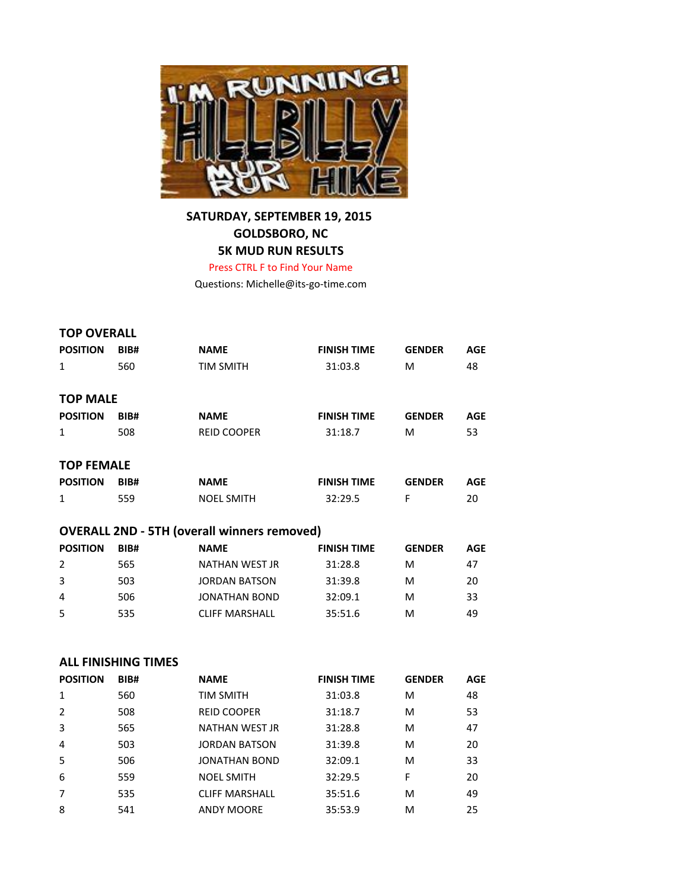

## **SATURDAY, SEPTEMBER 19, 2015 GOLDSBORO, NC 5K MUD RUN RESULTS**

Press CTRL F to Find Your Name

Questions: Michelle@its-go-time.com

| <b>TOP OVERALL</b>                                 |      |                    |                    |               |            |  |  |
|----------------------------------------------------|------|--------------------|--------------------|---------------|------------|--|--|
| <b>POSITION</b>                                    | BIB# | <b>NAME</b>        | <b>FINISH TIME</b> | <b>GENDER</b> | <b>AGE</b> |  |  |
| $\mathbf{1}$                                       | 560  | <b>TIM SMITH</b>   | 31:03.8            | M             | 48         |  |  |
| <b>TOP MALE</b>                                    |      |                    |                    |               |            |  |  |
| <b>POSITION</b>                                    | BIB# | <b>NAME</b>        | <b>FINISH TIME</b> | <b>GENDER</b> | <b>AGE</b> |  |  |
| 1                                                  | 508  | <b>REID COOPER</b> | 31:18.7            | M             | 53         |  |  |
| <b>TOP FEMALE</b>                                  |      |                    |                    |               |            |  |  |
| <b>POSITION</b>                                    | BIB# | <b>NAME</b>        | <b>FINISH TIME</b> | <b>GENDER</b> | <b>AGE</b> |  |  |
| $\mathbf{1}$                                       | 559  | <b>NOEL SMITH</b>  | 32:29.5            | F             | 20         |  |  |
| <b>OVERALL 2ND - 5TH (overall winners removed)</b> |      |                    |                    |               |            |  |  |

## **POSITION BIB# NAME FINISH TIME GENDER AGE** 2 565 NATHAN WEST JR 31:28.8 M 47 3 503 JORDAN BATSON 31:39.8 M 20 4 506 JONATHAN BOND 32:09.1 M 33 5 535 CLIFF MARSHALL 35:51.6 M 49

## **ALL FINISHING TIMES**

| <b>POSITION</b> | BIB# | <b>NAME</b>           | <b>FINISH TIME</b> | <b>GENDER</b> | <b>AGE</b> |
|-----------------|------|-----------------------|--------------------|---------------|------------|
| 1               | 560  | TIM SMITH             | 31:03.8            | м             | 48         |
| $\overline{2}$  | 508  | <b>REID COOPER</b>    | 31:18.7            | м             | 53         |
| 3               | 565  | NATHAN WEST JR        | 31:28.8            | м             | 47         |
| $\overline{4}$  | 503  | <b>JORDAN BATSON</b>  | 31:39.8            | м             | 20         |
| -5              | 506  | JONATHAN BOND         | 32:09.1            | м             | 33         |
| 6               | 559  | <b>NOEL SMITH</b>     | 32:29.5            | F             | 20         |
| $\overline{7}$  | 535  | <b>CLIFF MARSHALL</b> | 35:51.6            | м             | 49         |
| 8               | 541  | <b>ANDY MOORE</b>     | 35:53.9            | м             | 25         |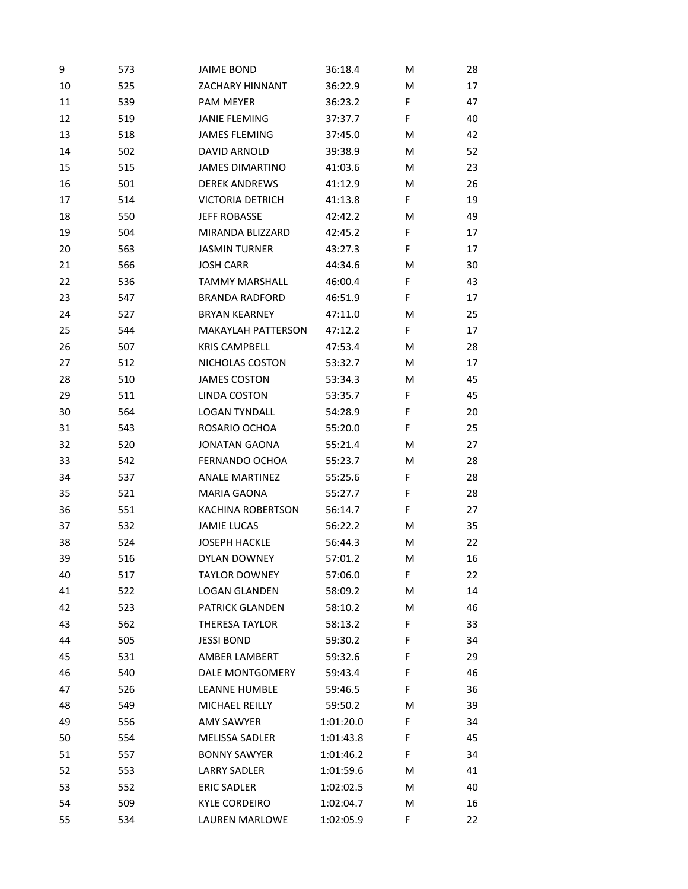| 9  | 573 | <b>JAIME BOND</b>         | 36:18.4   | M | 28 |
|----|-----|---------------------------|-----------|---|----|
| 10 | 525 | <b>ZACHARY HINNANT</b>    | 36:22.9   | M | 17 |
| 11 | 539 | <b>PAM MEYER</b>          | 36:23.2   | F | 47 |
| 12 | 519 | <b>JANIE FLEMING</b>      | 37:37.7   | F | 40 |
| 13 | 518 | <b>JAMES FLEMING</b>      | 37:45.0   | M | 42 |
| 14 | 502 | DAVID ARNOLD              | 39:38.9   | м | 52 |
| 15 | 515 | <b>JAMES DIMARTINO</b>    | 41:03.6   | M | 23 |
| 16 | 501 | <b>DEREK ANDREWS</b>      | 41:12.9   | M | 26 |
| 17 | 514 | <b>VICTORIA DETRICH</b>   | 41:13.8   | F | 19 |
| 18 | 550 | <b>JEFF ROBASSE</b>       | 42:42.2   | M | 49 |
| 19 | 504 | MIRANDA BLIZZARD          | 42:45.2   | F | 17 |
| 20 | 563 | <b>JASMIN TURNER</b>      | 43:27.3   | F | 17 |
| 21 | 566 | <b>JOSH CARR</b>          | 44:34.6   | M | 30 |
| 22 | 536 | <b>TAMMY MARSHALL</b>     | 46:00.4   | F | 43 |
| 23 | 547 | <b>BRANDA RADFORD</b>     | 46:51.9   | F | 17 |
| 24 | 527 | <b>BRYAN KEARNEY</b>      | 47:11.0   | M | 25 |
| 25 | 544 | <b>MAKAYLAH PATTERSON</b> | 47:12.2   | F | 17 |
| 26 | 507 | <b>KRIS CAMPBELL</b>      | 47:53.4   | M | 28 |
| 27 | 512 | NICHOLAS COSTON           | 53:32.7   | M | 17 |
| 28 | 510 | <b>JAMES COSTON</b>       | 53:34.3   | M | 45 |
| 29 | 511 | <b>LINDA COSTON</b>       | 53:35.7   | F | 45 |
| 30 | 564 | <b>LOGAN TYNDALL</b>      | 54:28.9   | F | 20 |
| 31 | 543 | ROSARIO OCHOA             | 55:20.0   | F | 25 |
| 32 | 520 | <b>JONATAN GAONA</b>      | 55:21.4   | M | 27 |
| 33 | 542 | FERNANDO OCHOA            | 55:23.7   | M | 28 |
| 34 | 537 | <b>ANALE MARTINEZ</b>     | 55:25.6   | F | 28 |
| 35 | 521 | <b>MARIA GAONA</b>        | 55:27.7   | F | 28 |
| 36 | 551 | <b>KACHINA ROBERTSON</b>  | 56:14.7   | F | 27 |
| 37 | 532 | <b>JAMIE LUCAS</b>        | 56:22.2   | M | 35 |
| 38 | 524 | <b>JOSEPH HACKLE</b>      | 56:44.3   | M | 22 |
| 39 | 516 | DYLAN DOWNEY              | 57:01.2   | M | 16 |
| 40 | 517 | <b>TAYLOR DOWNEY</b>      | 57:06.0   | F | 22 |
| 41 | 522 | <b>LOGAN GLANDEN</b>      | 58:09.2   | M | 14 |
| 42 | 523 | PATRICK GLANDEN           | 58:10.2   | M | 46 |
| 43 | 562 | <b>THERESA TAYLOR</b>     | 58:13.2   | F | 33 |
| 44 | 505 | <b>JESSI BOND</b>         | 59:30.2   | F | 34 |
| 45 | 531 | AMBER LAMBERT             | 59:32.6   | F | 29 |
| 46 | 540 | DALE MONTGOMERY           | 59:43.4   | F | 46 |
| 47 | 526 | LEANNE HUMBLE             | 59:46.5   | F | 36 |
| 48 | 549 | MICHAEL REILLY            | 59:50.2   | M | 39 |
| 49 | 556 | <b>AMY SAWYER</b>         | 1:01:20.0 | F | 34 |
| 50 | 554 | <b>MELISSA SADLER</b>     | 1:01:43.8 | F | 45 |
| 51 | 557 | <b>BONNY SAWYER</b>       | 1:01:46.2 | F | 34 |
| 52 | 553 | <b>LARRY SADLER</b>       | 1:01:59.6 | M | 41 |
| 53 | 552 | <b>ERIC SADLER</b>        | 1:02:02.5 | M | 40 |
| 54 | 509 | <b>KYLE CORDEIRO</b>      | 1:02:04.7 | M | 16 |
| 55 | 534 | LAUREN MARLOWE            | 1:02:05.9 | F | 22 |